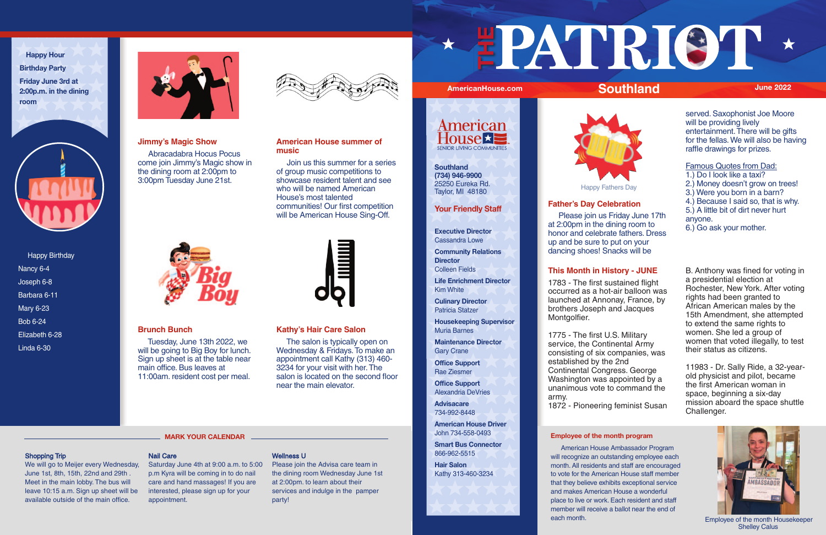Happy Birthday Nancy 6-4 Joseph 6-8 Barbara 6-11 Mary 6-23 Bob 6-24 Elizabeth 6-28 Linda 6-30



**Happy Hour Birthday Party Friday June 3rd at 2:00p.m. in the dining room**



# **Employee of the month program**

 American House Ambassador Program will recognize an outstanding employee each month. All residents and staff are encouraged to vote for the American House staff member that they believe exhibits exceptional service and makes American House a wonderful place to live or work. Each resident and staff member will receive a ballot near the end of each month.



# AmericanHouse.com **Southland** June 2022

# **Kathy's Hair Care Salon**

 The salon is typically open on Wednesday & Fridays. To make an appointment call Kathy (313) 460- 3234 for your visit with her. The salon is located on the second floor near the main elevator.

# **Brunch Bunch**

 Tuesday, June 13th 2022, we will be going to Big Boy for lunch. Sign up sheet is at the table near main office. Bus leaves at 11:00am. resident cost per meal.



# **American House summer of music**

 Join us this summer for a series of group music competitions to showcase resident talent and see who will be named American House's most talented communities! Our first competition will be American House Sing-Off.



# **Jimmy's Magic Show**

 Abracadabra Hocus Pocus come join Jimmy's Magic show in the dining room at 2:00pm to 3:00pm Tuesday June 21st.



# **Your Friendly Staff**

**Executive Director**  Cassandra Lowe

**Community Relations Director** Colleen Fields

**Life Enrichment Director** Kim White

**Culinary Director** Patricia Statzer

**Housekeeping Supervisor** Muria Barnes

**Maintenance Director** Gary Crane

**Office Support** Rae Ziesmer

**Office Support** Alexandria DeVries

**Advisacare** 734-992-8448

**American House Driver** John 734-558-0493

**Smart Bus Connector** 866-962-5515

**Hair Salon** Kathy 313-460-3234

# **Father's Day Celebration**

 Please join us Friday June 17th at 2:00pm in the dining room to honor and celebrate fathers. Dress up and be sure to put on your dancing shoes! Snacks will be

served. Saxophonist Joe Moore will be providing lively entertainment. There will be gifts for the fellas. We will also be having raffle drawings for prizes.

Famous Quotes from Dad: 1.) Do I look like a taxi? 2.) Money doesn't grow on trees! 3.) Were you born in a barn?

- 4.) Because I said so, that is why.
- 5.) A little bit of dirt never hurt
- anyone.
- 6.) Go ask your mother.

# **This Month in History - JUNE**

1783 - The first sustained flight occurred as a hot-air balloon was launched at Annonay, France, by brothers Joseph and Jacques Montgolfier.

1775 - The first U.S. Military service, the Continental Army consisting of six companies, was established by the 2nd Continental Congress. George Washington was appointed by a unanimous vote to command the army. 1872 - Pioneering feminist Susan B. Anthony was fined for voting in a presidential election at Rochester, New York. After voting rights had been granted to African American males by the 15th Amendment, she attempted to extend the same rights to women. She led a group of women that voted illegally, to test their status as citizens.

11983 - Dr. Sally Ride, a 32-yearold physicist and pilot, became the first American woman in space, beginning a six-day mission aboard the space shuttle Challenger.

# Shopping Trip

We will go to Meijer every Wednesday, Saturday June 4th at 9:00 a.m. to 5:00 June 1st, 8th, 15th, 22nd and 29th . Meet in the main lobby. The bus will leave 10:15 a.m. Sign up sheet will be available outside of the main office.

# Nail Care

p.m Kyra will be coming in to do nail care and hand massages! If you are interested, please sign up for your appointment.

## Wellness U

Please join the Advisa care team in the dining room Wednesday June 1st at 2:00pm. to learn about their services and indulge in the pamper party!

# **THE**



**MARK YOUR CALENDAR** 

**Southland (734) 946-9900** 25250 Eureka Rd. Taylor, MI 48180



Employee of the month Housekeeper Shelley Calus